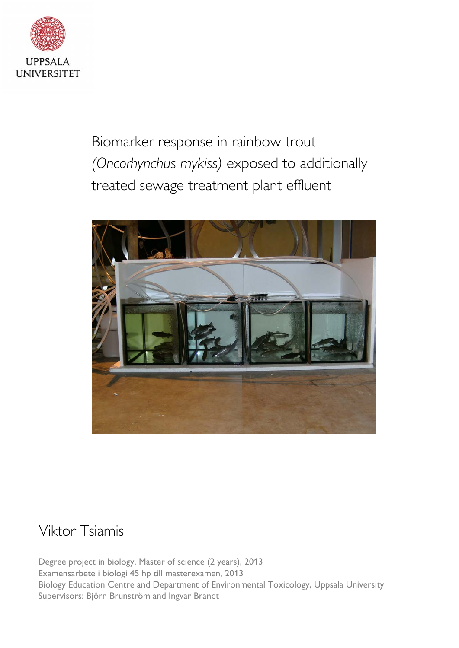

Biomarker response in rainbow trout *(Oncorhynchus mykiss)* exposed to additionally treated sewage treatment plant effluent



# Viktor Tsiamis

Degree project in biology, Master of science (2 years), 2013 Examensarbete i biologi 45 hp till masterexamen, 2013 Biology Education Centre and Department of Environmental Toxicology, Uppsala University Supervisors: Björn Brunström and Ingvar Brandt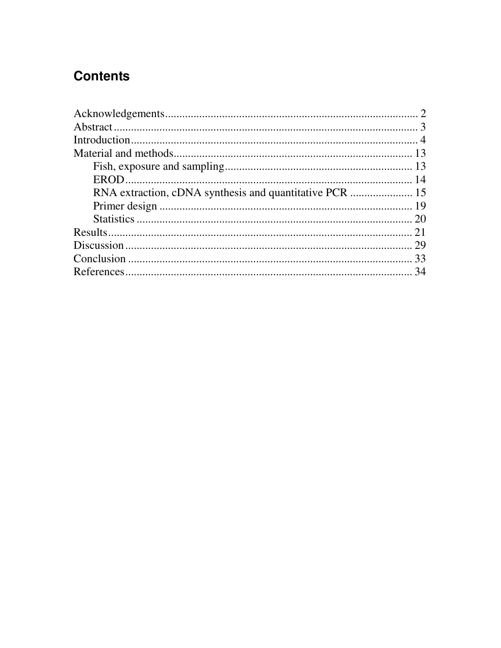# **Contents**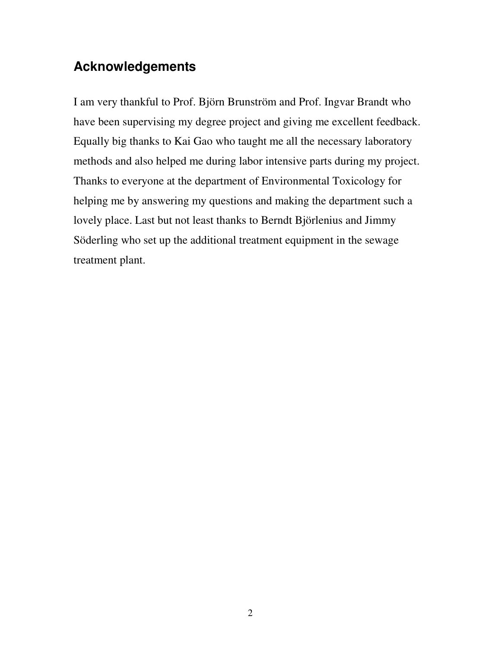# **Acknowledgements**

I am very thankful to Prof. Björn Brunström and Prof. Ingvar Brandt who have been supervising my degree project and giving me excellent feedback. Equally big thanks to Kai Gao who taught me all the necessary laboratory methods and also helped me during labor intensive parts during my project. Thanks to everyone at the department of Environmental Toxicology for helping me by answering my questions and making the department such a lovely place. Last but not least thanks to Berndt Björlenius and Jimmy Söderling who set up the additional treatment equipment in the sewage treatment plant.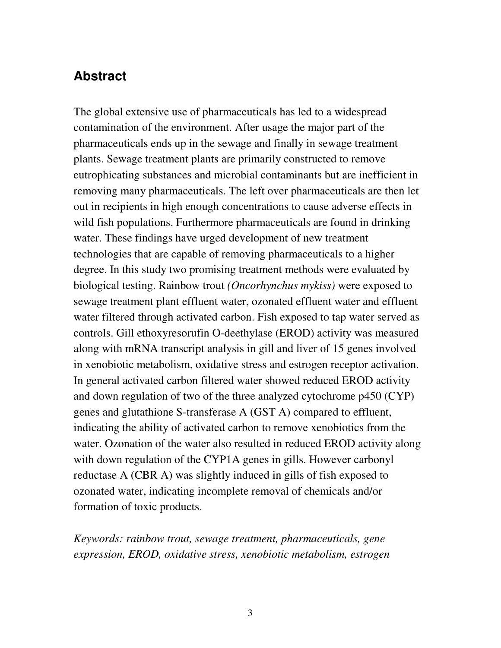## **Abstract**

The global extensive use of pharmaceuticals has led to a widespread contamination of the environment. After usage the major part of the pharmaceuticals ends up in the sewage and finally in sewage treatment plants. Sewage treatment plants are primarily constructed to remove eutrophicating substances and microbial contaminants but are inefficient in removing many pharmaceuticals. The left over pharmaceuticals are then let out in recipients in high enough concentrations to cause adverse effects in wild fish populations. Furthermore pharmaceuticals are found in drinking water. These findings have urged development of new treatment technologies that are capable of removing pharmaceuticals to a higher degree. In this study two promising treatment methods were evaluated by biological testing. Rainbow trout *(Oncorhynchus mykiss)* were exposed to sewage treatment plant effluent water, ozonated effluent water and effluent water filtered through activated carbon. Fish exposed to tap water served as controls. Gill ethoxyresorufin O-deethylase (EROD) activity was measured along with mRNA transcript analysis in gill and liver of 15 genes involved in xenobiotic metabolism, oxidative stress and estrogen receptor activation. In general activated carbon filtered water showed reduced EROD activity and down regulation of two of the three analyzed cytochrome p450 (CYP) genes and glutathione S-transferase A (GST A) compared to effluent, indicating the ability of activated carbon to remove xenobiotics from the water. Ozonation of the water also resulted in reduced EROD activity along with down regulation of the CYP1A genes in gills. However carbonyl reductase A (CBR A) was slightly induced in gills of fish exposed to ozonated water, indicating incomplete removal of chemicals and/or formation of toxic products.

*Keywords: rainbow trout, sewage treatment, pharmaceuticals, gene expression, EROD, oxidative stress, xenobiotic metabolism, estrogen*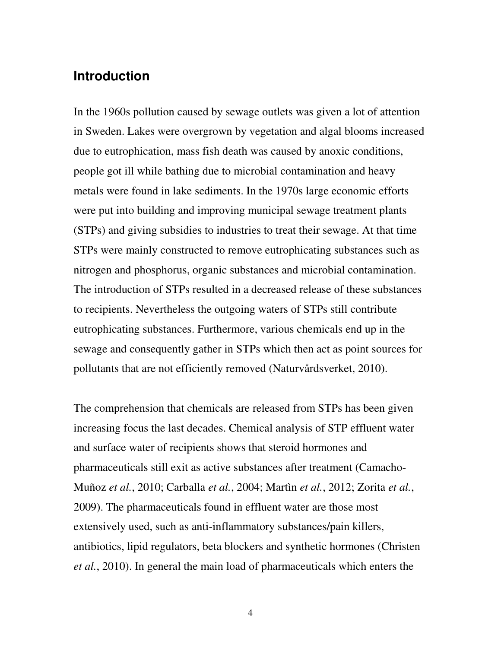### **Introduction**

In the 1960s pollution caused by sewage outlets was given a lot of attention in Sweden. Lakes were overgrown by vegetation and algal blooms increased due to eutrophication, mass fish death was caused by anoxic conditions, people got ill while bathing due to microbial contamination and heavy metals were found in lake sediments. In the 1970s large economic efforts were put into building and improving municipal sewage treatment plants (STPs) and giving subsidies to industries to treat their sewage. At that time STPs were mainly constructed to remove eutrophicating substances such as nitrogen and phosphorus, organic substances and microbial contamination. The introduction of STPs resulted in a decreased release of these substances to recipients. Nevertheless the outgoing waters of STPs still contribute eutrophicating substances. Furthermore, various chemicals end up in the sewage and consequently gather in STPs which then act as point sources for pollutants that are not efficiently removed (Naturvårdsverket, 2010).

The comprehension that chemicals are released from STPs has been given increasing focus the last decades. Chemical analysis of STP effluent water and surface water of recipients shows that steroid hormones and pharmaceuticals still exit as active substances after treatment (Camacho-Muñoz *et al.*, 2010; Carballa *et al.*, 2004; Martìn *et al.*, 2012; Zorita *et al.*, 2009). The pharmaceuticals found in effluent water are those most extensively used, such as anti-inflammatory substances/pain killers, antibiotics, lipid regulators, beta blockers and synthetic hormones (Christen *et al.*, 2010). In general the main load of pharmaceuticals which enters the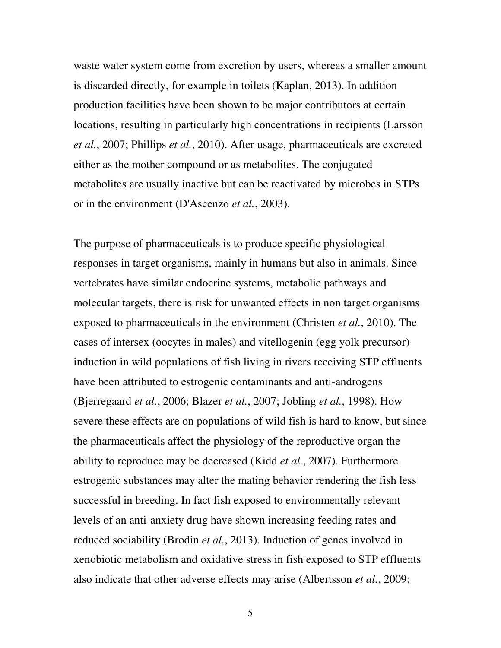waste water system come from excretion by users, whereas a smaller amount is discarded directly, for example in toilets (Kaplan, 2013). In addition production facilities have been shown to be major contributors at certain locations, resulting in particularly high concentrations in recipients (Larsson *et al.*, 2007; Phillips *et al.*, 2010). After usage, pharmaceuticals are excreted either as the mother compound or as metabolites. The conjugated metabolites are usually inactive but can be reactivated by microbes in STPs or in the environment (D'Ascenzo *et al.*, 2003).

The purpose of pharmaceuticals is to produce specific physiological responses in target organisms, mainly in humans but also in animals. Since vertebrates have similar endocrine systems, metabolic pathways and molecular targets, there is risk for unwanted effects in non target organisms exposed to pharmaceuticals in the environment (Christen *et al.*, 2010). The cases of intersex (oocytes in males) and vitellogenin (egg yolk precursor) induction in wild populations of fish living in rivers receiving STP effluents have been attributed to estrogenic contaminants and anti-androgens (Bjerregaard *et al.*, 2006; Blazer *et al.*, 2007; Jobling *et al.*, 1998). How severe these effects are on populations of wild fish is hard to know, but since the pharmaceuticals affect the physiology of the reproductive organ the ability to reproduce may be decreased (Kidd *et al.*, 2007). Furthermore estrogenic substances may alter the mating behavior rendering the fish less successful in breeding. In fact fish exposed to environmentally relevant levels of an anti-anxiety drug have shown increasing feeding rates and reduced sociability (Brodin *et al.*, 2013). Induction of genes involved in xenobiotic metabolism and oxidative stress in fish exposed to STP effluents also indicate that other adverse effects may arise (Albertsson *et al.*, 2009;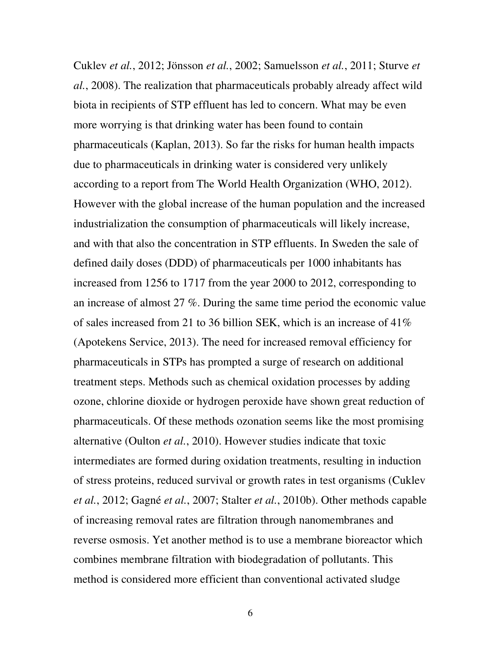Cuklev *et al.*, 2012; Jönsson *et al.*, 2002; Samuelsson *et al.*, 2011; Sturve *et al.*, 2008). The realization that pharmaceuticals probably already affect wild biota in recipients of STP effluent has led to concern. What may be even more worrying is that drinking water has been found to contain pharmaceuticals (Kaplan, 2013). So far the risks for human health impacts due to pharmaceuticals in drinking water is considered very unlikely according to a report from The World Health Organization (WHO, 2012). However with the global increase of the human population and the increased industrialization the consumption of pharmaceuticals will likely increase, and with that also the concentration in STP effluents. In Sweden the sale of defined daily doses (DDD) of pharmaceuticals per 1000 inhabitants has increased from 1256 to 1717 from the year 2000 to 2012, corresponding to an increase of almost 27 %. During the same time period the economic value of sales increased from 21 to 36 billion SEK, which is an increase of 41% (Apotekens Service, 2013). The need for increased removal efficiency for pharmaceuticals in STPs has prompted a surge of research on additional treatment steps. Methods such as chemical oxidation processes by adding ozone, chlorine dioxide or hydrogen peroxide have shown great reduction of pharmaceuticals. Of these methods ozonation seems like the most promising alternative (Oulton *et al.*, 2010). However studies indicate that toxic intermediates are formed during oxidation treatments, resulting in induction of stress proteins, reduced survival or growth rates in test organisms (Cuklev *et al.*, 2012; Gagné *et al.*, 2007; Stalter *et al.*, 2010b). Other methods capable of increasing removal rates are filtration through nanomembranes and reverse osmosis. Yet another method is to use a membrane bioreactor which combines membrane filtration with biodegradation of pollutants. This method is considered more efficient than conventional activated sludge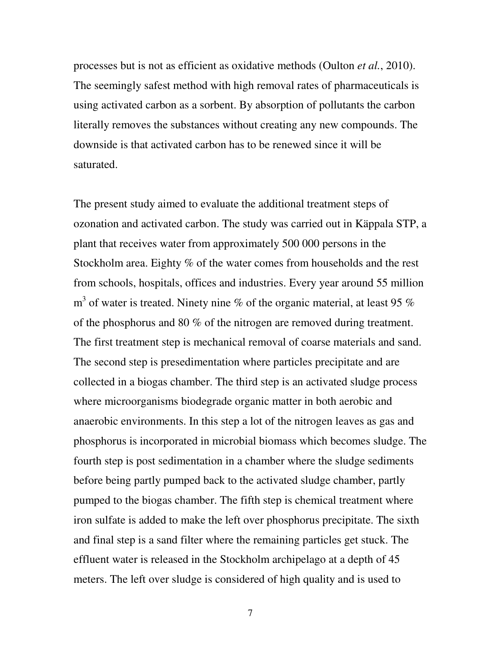processes but is not as efficient as oxidative methods (Oulton *et al.*, 2010). The seemingly safest method with high removal rates of pharmaceuticals is using activated carbon as a sorbent. By absorption of pollutants the carbon literally removes the substances without creating any new compounds. The downside is that activated carbon has to be renewed since it will be saturated.

The present study aimed to evaluate the additional treatment steps of ozonation and activated carbon. The study was carried out in Käppala STP, a plant that receives water from approximately 500 000 persons in the Stockholm area. Eighty % of the water comes from households and the rest from schools, hospitals, offices and industries. Every year around 55 million  $m<sup>3</sup>$  of water is treated. Ninety nine % of the organic material, at least 95 % of the phosphorus and 80 % of the nitrogen are removed during treatment. The first treatment step is mechanical removal of coarse materials and sand. The second step is presedimentation where particles precipitate and are collected in a biogas chamber. The third step is an activated sludge process where microorganisms biodegrade organic matter in both aerobic and anaerobic environments. In this step a lot of the nitrogen leaves as gas and phosphorus is incorporated in microbial biomass which becomes sludge. The fourth step is post sedimentation in a chamber where the sludge sediments before being partly pumped back to the activated sludge chamber, partly pumped to the biogas chamber. The fifth step is chemical treatment where iron sulfate is added to make the left over phosphorus precipitate. The sixth and final step is a sand filter where the remaining particles get stuck. The effluent water is released in the Stockholm archipelago at a depth of 45 meters. The left over sludge is considered of high quality and is used to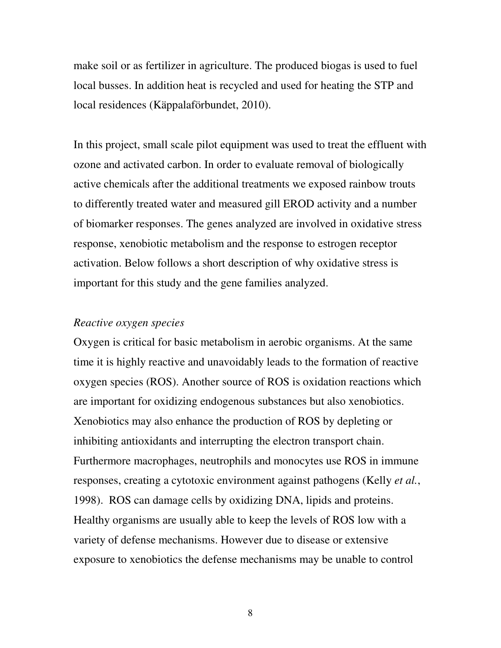make soil or as fertilizer in agriculture. The produced biogas is used to fuel local busses. In addition heat is recycled and used for heating the STP and local residences (Käppalaförbundet, 2010).

In this project, small scale pilot equipment was used to treat the effluent with ozone and activated carbon. In order to evaluate removal of biologically active chemicals after the additional treatments we exposed rainbow trouts to differently treated water and measured gill EROD activity and a number of biomarker responses. The genes analyzed are involved in oxidative stress response, xenobiotic metabolism and the response to estrogen receptor activation. Below follows a short description of why oxidative stress is important for this study and the gene families analyzed.

#### *Reactive oxygen species*

Oxygen is critical for basic metabolism in aerobic organisms. At the same time it is highly reactive and unavoidably leads to the formation of reactive oxygen species (ROS). Another source of ROS is oxidation reactions which are important for oxidizing endogenous substances but also xenobiotics. Xenobiotics may also enhance the production of ROS by depleting or inhibiting antioxidants and interrupting the electron transport chain. Furthermore macrophages, neutrophils and monocytes use ROS in immune responses, creating a cytotoxic environment against pathogens (Kelly *et al.*, 1998). ROS can damage cells by oxidizing DNA, lipids and proteins. Healthy organisms are usually able to keep the levels of ROS low with a variety of defense mechanisms. However due to disease or extensive exposure to xenobiotics the defense mechanisms may be unable to control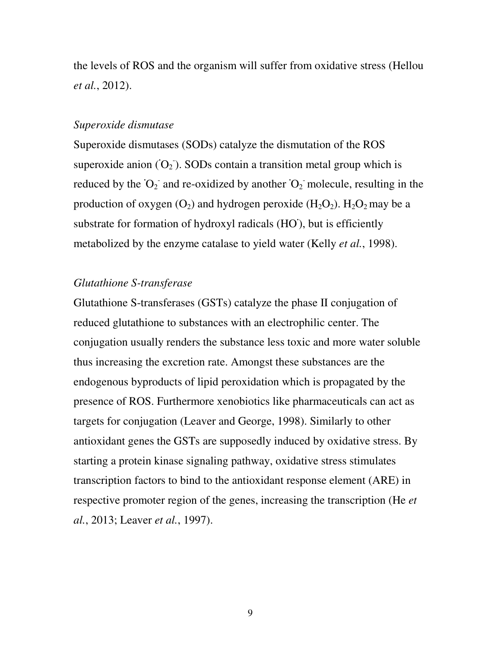the levels of ROS and the organism will suffer from oxidative stress (Hellou *et al.*, 2012).

#### *Superoxide dismutase*

Superoxide dismutases (SODs) catalyze the dismutation of the ROS superoxide anion  $(O_2)$ . SODs contain a transition metal group which is reduced by the  $O_2$  and re-oxidized by another  $O_2$  molecule, resulting in the production of oxygen  $(O_2)$  and hydrogen peroxide  $(H_2O_2)$ .  $H_2O_2$  may be a substrate for formation of hydroxyl radicals (HO), but is efficiently metabolized by the enzyme catalase to yield water (Kelly *et al.*, 1998).

#### *Glutathione S-transferase*

Glutathione S-transferases (GSTs) catalyze the phase II conjugation of reduced glutathione to substances with an electrophilic center. The conjugation usually renders the substance less toxic and more water soluble thus increasing the excretion rate. Amongst these substances are the endogenous byproducts of lipid peroxidation which is propagated by the presence of ROS. Furthermore xenobiotics like pharmaceuticals can act as targets for conjugation (Leaver and George, 1998). Similarly to other antioxidant genes the GSTs are supposedly induced by oxidative stress. By starting a protein kinase signaling pathway, oxidative stress stimulates transcription factors to bind to the antioxidant response element (ARE) in respective promoter region of the genes, increasing the transcription (He *et al.*, 2013; Leaver *et al.*, 1997).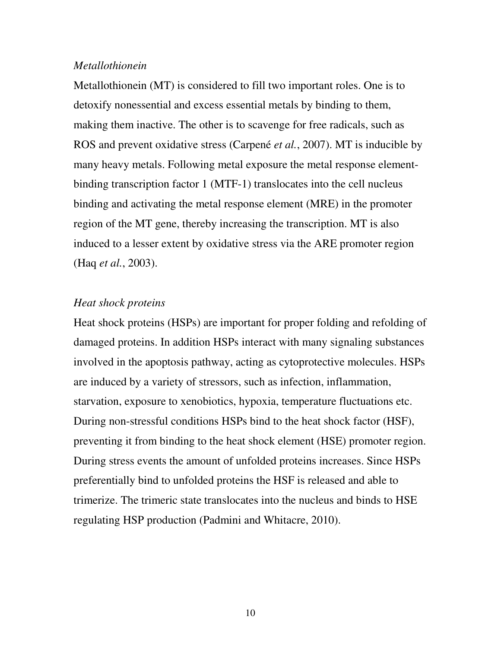#### *Metallothionein*

Metallothionein (MT) is considered to fill two important roles. One is to detoxify nonessential and excess essential metals by binding to them, making them inactive. The other is to scavenge for free radicals, such as ROS and prevent oxidative stress (Carpené *et al.*, 2007). MT is inducible by many heavy metals. Following metal exposure the metal response elementbinding transcription factor 1 (MTF-1) translocates into the cell nucleus binding and activating the metal response element (MRE) in the promoter region of the MT gene, thereby increasing the transcription. MT is also induced to a lesser extent by oxidative stress via the ARE promoter region (Haq *et al.*, 2003).

#### *Heat shock proteins*

Heat shock proteins (HSPs) are important for proper folding and refolding of damaged proteins. In addition HSPs interact with many signaling substances involved in the apoptosis pathway, acting as cytoprotective molecules. HSPs are induced by a variety of stressors, such as infection, inflammation, starvation, exposure to xenobiotics, hypoxia, temperature fluctuations etc. During non-stressful conditions HSPs bind to the heat shock factor (HSF), preventing it from binding to the heat shock element (HSE) promoter region. During stress events the amount of unfolded proteins increases. Since HSPs preferentially bind to unfolded proteins the HSF is released and able to trimerize. The trimeric state translocates into the nucleus and binds to HSE regulating HSP production (Padmini and Whitacre, 2010).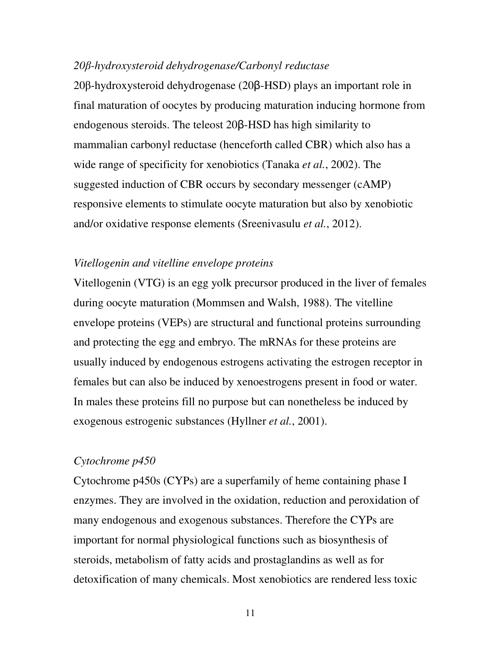#### *20*β*-hydroxysteroid dehydrogenase/Carbonyl reductase*

20β-hydroxysteroid dehydrogenase (20β-HSD) plays an important role in final maturation of oocytes by producing maturation inducing hormone from endogenous steroids. The teleost 20β-HSD has high similarity to mammalian carbonyl reductase (henceforth called CBR) which also has a wide range of specificity for xenobiotics (Tanaka *et al.*, 2002). The suggested induction of CBR occurs by secondary messenger (cAMP) responsive elements to stimulate oocyte maturation but also by xenobiotic and/or oxidative response elements (Sreenivasulu *et al.*, 2012).

#### *Vitellogenin and vitelline envelope proteins*

Vitellogenin (VTG) is an egg yolk precursor produced in the liver of females during oocyte maturation (Mommsen and Walsh, 1988). The vitelline envelope proteins (VEPs) are structural and functional proteins surrounding and protecting the egg and embryo. The mRNAs for these proteins are usually induced by endogenous estrogens activating the estrogen receptor in females but can also be induced by xenoestrogens present in food or water. In males these proteins fill no purpose but can nonetheless be induced by exogenous estrogenic substances (Hyllner *et al.*, 2001).

#### *Cytochrome p450*

Cytochrome p450s (CYPs) are a superfamily of heme containing phase I enzymes. They are involved in the oxidation, reduction and peroxidation of many endogenous and exogenous substances. Therefore the CYPs are important for normal physiological functions such as biosynthesis of steroids, metabolism of fatty acids and prostaglandins as well as for detoxification of many chemicals. Most xenobiotics are rendered less toxic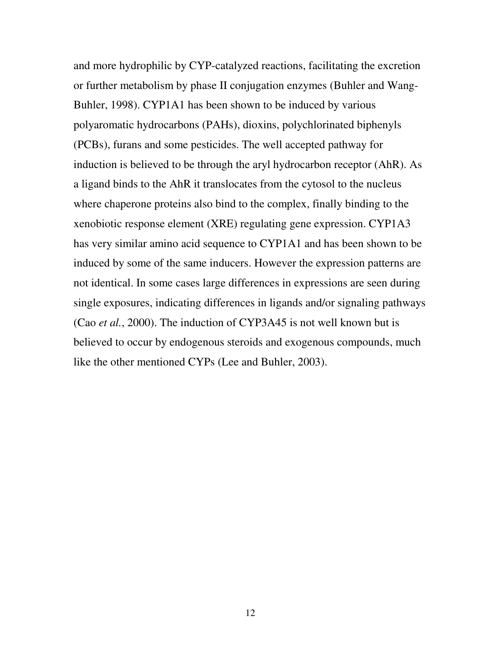and more hydrophilic by CYP-catalyzed reactions, facilitating the excretion or further metabolism by phase II conjugation enzymes (Buhler and Wang-Buhler, 1998). CYP1A1 has been shown to be induced by various polyaromatic hydrocarbons (PAHs), dioxins, polychlorinated biphenyls (PCBs), furans and some pesticides. The well accepted pathway for induction is believed to be through the aryl hydrocarbon receptor (AhR). As a ligand binds to the AhR it translocates from the cytosol to the nucleus where chaperone proteins also bind to the complex, finally binding to the xenobiotic response element (XRE) regulating gene expression. CYP1A3 has very similar amino acid sequence to CYP1A1 and has been shown to be induced by some of the same inducers. However the expression patterns are not identical. In some cases large differences in expressions are seen during single exposures, indicating differences in ligands and/or signaling pathways (Cao *et al.*, 2000). The induction of CYP3A45 is not well known but is believed to occur by endogenous steroids and exogenous compounds, much like the other mentioned CYPs (Lee and Buhler, 2003).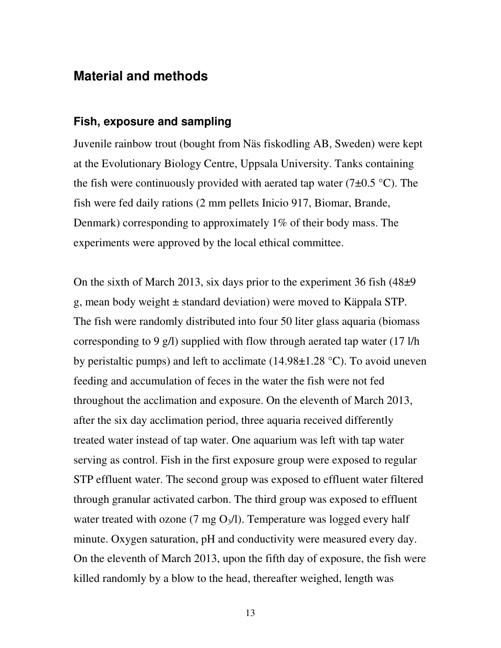### **Material and methods**

#### **Fish, exposure and sampling**

Juvenile rainbow trout (bought from Näs fiskodling AB, Sweden) were kept at the Evolutionary Biology Centre, Uppsala University. Tanks containing the fish were continuously provided with aerated tap water (7 $\pm$ 0.5 °C). The fish were fed daily rations (2 mm pellets Inicio 917, Biomar, Brande, Denmark) corresponding to approximately 1% of their body mass. The experiments were approved by the local ethical committee.

On the sixth of March 2013, six days prior to the experiment 36 fish  $(48\pm9)$ g, mean body weight ± standard deviation) were moved to Käppala STP. The fish were randomly distributed into four 50 liter glass aquaria (biomass corresponding to 9 g/l) supplied with flow through aerated tap water (17 l/h by peristaltic pumps) and left to acclimate  $(14.98\pm1.28 \degree C)$ . To avoid uneven feeding and accumulation of feces in the water the fish were not fed throughout the acclimation and exposure. On the eleventh of March 2013, after the six day acclimation period, three aquaria received differently treated water instead of tap water. One aquarium was left with tap water serving as control. Fish in the first exposure group were exposed to regular STP effluent water. The second group was exposed to effluent water filtered through granular activated carbon. The third group was exposed to effluent water treated with ozone (7 mg  $O_3/l$ ). Temperature was logged every half minute. Oxygen saturation, pH and conductivity were measured every day. On the eleventh of March 2013, upon the fifth day of exposure, the fish were killed randomly by a blow to the head, thereafter weighed, length was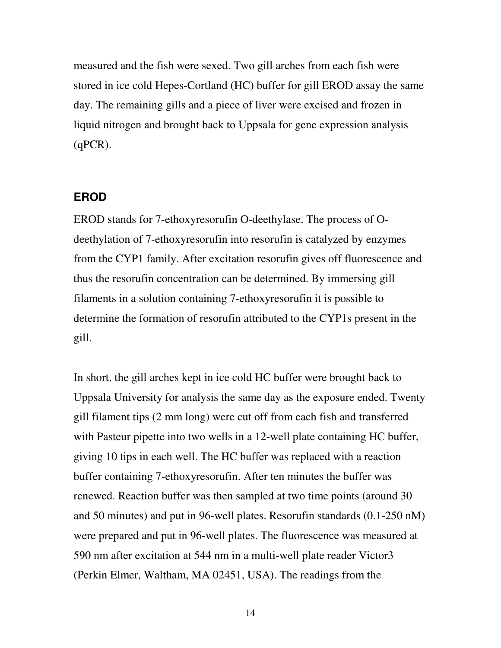measured and the fish were sexed. Two gill arches from each fish were stored in ice cold Hepes-Cortland (HC) buffer for gill EROD assay the same day. The remaining gills and a piece of liver were excised and frozen in liquid nitrogen and brought back to Uppsala for gene expression analysis  $(qPCR).$ 

#### **EROD**

EROD stands for 7-ethoxyresorufin O-deethylase. The process of Odeethylation of 7-ethoxyresorufin into resorufin is catalyzed by enzymes from the CYP1 family. After excitation resorufin gives off fluorescence and thus the resorufin concentration can be determined. By immersing gill filaments in a solution containing 7-ethoxyresorufin it is possible to determine the formation of resorufin attributed to the CYP1s present in the gill.

In short, the gill arches kept in ice cold HC buffer were brought back to Uppsala University for analysis the same day as the exposure ended. Twenty gill filament tips (2 mm long) were cut off from each fish and transferred with Pasteur pipette into two wells in a 12-well plate containing HC buffer, giving 10 tips in each well. The HC buffer was replaced with a reaction buffer containing 7-ethoxyresorufin. After ten minutes the buffer was renewed. Reaction buffer was then sampled at two time points (around 30 and 50 minutes) and put in 96-well plates. Resorufin standards (0.1-250 nM) were prepared and put in 96-well plates. The fluorescence was measured at 590 nm after excitation at 544 nm in a multi-well plate reader Victor3 (Perkin Elmer, Waltham, MA 02451, USA). The readings from the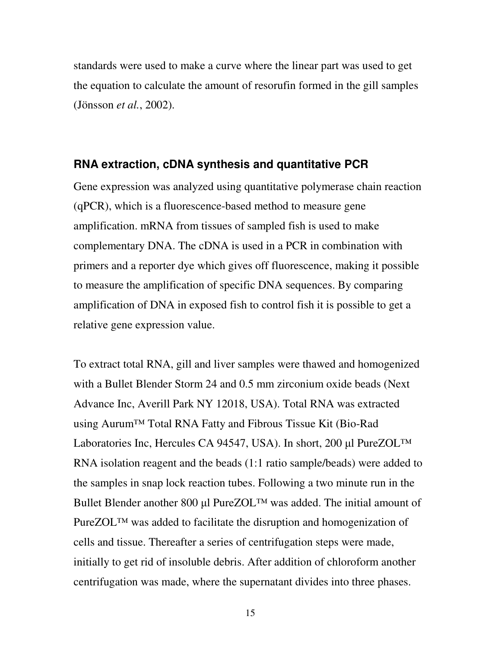standards were used to make a curve where the linear part was used to get the equation to calculate the amount of resorufin formed in the gill samples (Jönsson *et al.*, 2002).

#### **RNA extraction, cDNA synthesis and quantitative PCR**

Gene expression was analyzed using quantitative polymerase chain reaction (qPCR), which is a fluorescence-based method to measure gene amplification. mRNA from tissues of sampled fish is used to make complementary DNA. The cDNA is used in a PCR in combination with primers and a reporter dye which gives off fluorescence, making it possible to measure the amplification of specific DNA sequences. By comparing amplification of DNA in exposed fish to control fish it is possible to get a relative gene expression value.

To extract total RNA, gill and liver samples were thawed and homogenized with a Bullet Blender Storm 24 and 0.5 mm zirconium oxide beads (Next Advance Inc, Averill Park NY 12018, USA). Total RNA was extracted using Aurum™ Total RNA Fatty and Fibrous Tissue Kit (Bio-Rad Laboratories Inc, Hercules CA 94547, USA). In short, 200 µl PureZOL™ RNA isolation reagent and the beads (1:1 ratio sample/beads) were added to the samples in snap lock reaction tubes. Following a two minute run in the Bullet Blender another 800 µl PureZOL™ was added. The initial amount of PureZOL™ was added to facilitate the disruption and homogenization of cells and tissue. Thereafter a series of centrifugation steps were made, initially to get rid of insoluble debris. After addition of chloroform another centrifugation was made, where the supernatant divides into three phases.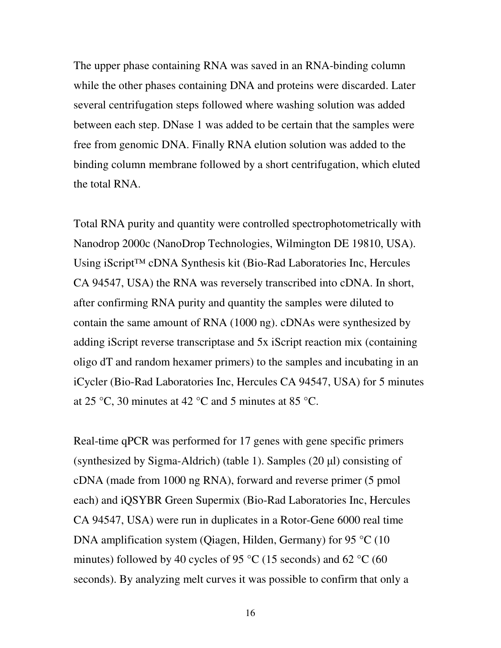The upper phase containing RNA was saved in an RNA-binding column while the other phases containing DNA and proteins were discarded. Later several centrifugation steps followed where washing solution was added between each step. DNase 1 was added to be certain that the samples were free from genomic DNA. Finally RNA elution solution was added to the binding column membrane followed by a short centrifugation, which eluted the total RNA.

Total RNA purity and quantity were controlled spectrophotometrically with Nanodrop 2000c (NanoDrop Technologies, Wilmington DE 19810, USA). Using iScript™ cDNA Synthesis kit (Bio-Rad Laboratories Inc, Hercules CA 94547, USA) the RNA was reversely transcribed into cDNA. In short, after confirming RNA purity and quantity the samples were diluted to contain the same amount of RNA (1000 ng). cDNAs were synthesized by adding iScript reverse transcriptase and 5x iScript reaction mix (containing oligo dT and random hexamer primers) to the samples and incubating in an iCycler (Bio-Rad Laboratories Inc, Hercules CA 94547, USA) for 5 minutes at 25 °C, 30 minutes at 42 °C and 5 minutes at 85 °C.

Real-time qPCR was performed for 17 genes with gene specific primers (synthesized by Sigma-Aldrich) (table 1). Samples  $(20 \mu l)$  consisting of cDNA (made from 1000 ng RNA), forward and reverse primer (5 pmol each) and iQSYBR Green Supermix (Bio-Rad Laboratories Inc, Hercules CA 94547, USA) were run in duplicates in a Rotor-Gene 6000 real time DNA amplification system (Qiagen, Hilden, Germany) for 95 °C (10 minutes) followed by 40 cycles of 95  $\degree$ C (15 seconds) and 62  $\degree$ C (60 seconds). By analyzing melt curves it was possible to confirm that only a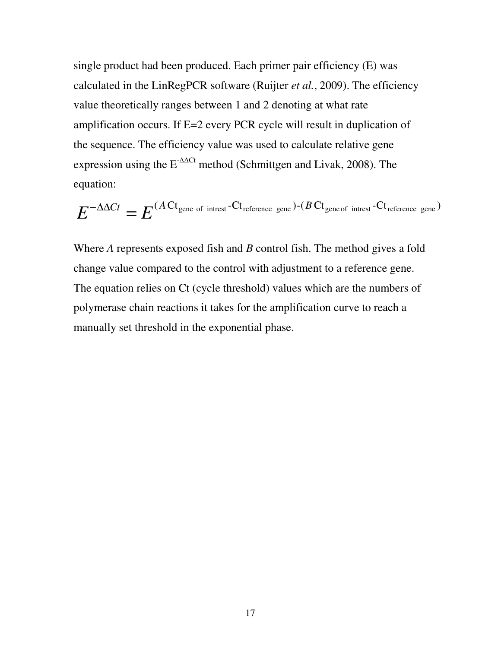single product had been produced. Each primer pair efficiency (E) was calculated in the LinRegPCR software (Ruijter *et al.*, 2009). The efficiency value theoretically ranges between 1 and 2 denoting at what rate amplification occurs. If E=2 every PCR cycle will result in duplication of the sequence. The efficiency value was used to calculate relative gene expression using the E-∆∆Ct method (Schmittgen and Livak, 2008). The equation:

$$
E^{-\Delta\Delta Ct}=E^{(A\mathrm{C}t_{\text{gene of interest}}-\mathrm{C}t_{\text{reference gene}})-(B\mathrm{C}t_{\text{gene of interest}}-\mathrm{C}t_{\text{reference gene}})}
$$

Where *A* represents exposed fish and *B* control fish. The method gives a fold change value compared to the control with adjustment to a reference gene. The equation relies on Ct (cycle threshold) values which are the numbers of polymerase chain reactions it takes for the amplification curve to reach a manually set threshold in the exponential phase.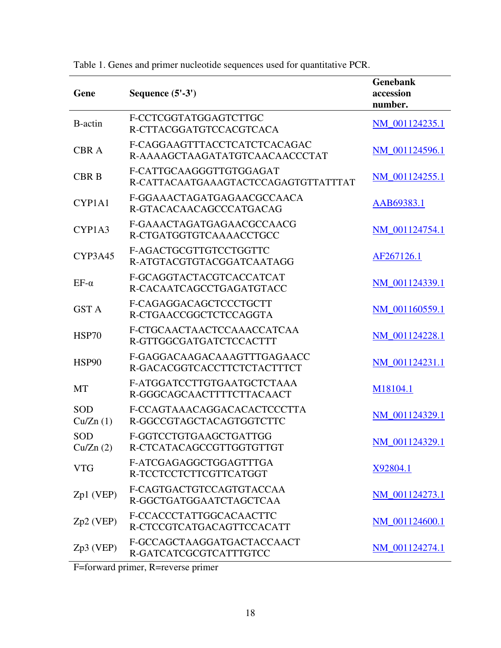| Gene                   | Sequence (5'-3')                                                | <b>Genebank</b><br>accession<br>number. |
|------------------------|-----------------------------------------------------------------|-----------------------------------------|
| B-actin                | F-CCTCGGTATGGAGTCTTGC<br>R-CTTACGGATGTCCACGTCACA                | NM_001124235.1                          |
| <b>CBRA</b>            | F-CAGGAAGTTTACCTCATCTCACAGAC<br>R-AAAAGCTAAGATATGTCAACAACCCTAT  | NM 001124596.1                          |
| <b>CBR B</b>           | F-CATTGCAAGGGTTGTGGAGAT<br>R-CATTACAATGAAAGTACTCCAGAGTGTTATTTAT | NM_001124255.1                          |
| CYP1A1                 | F-GGAAACTAGATGAGAACGCCAACA<br>R-GTACACAACAGCCCATGACAG           | AAB69383.1                              |
| CYP1A3                 | F-GAAACTAGATGAGAACGCCAACG<br>R-CTGATGGTGTCAAAACCTGCC            | NM_001124754.1                          |
| CYP3A45                | F-AGACTGCGTTGTCCTGGTTC<br>R-ATGTACGTGTACGGATCAATAGG             | AF267126.1                              |
| $EF-\alpha$            | F-GCAGGTACTACGTCACCATCAT<br>R-CACAATCAGCCTGAGATGTACC            | NM 001124339.1                          |
| <b>GST A</b>           | F-CAGAGGACAGCTCCCTGCTT<br>R-CTGAACCGGCTCTCCAGGTA                | NM_001160559.1                          |
| <b>HSP70</b>           | F-CTGCAACTAACTCCAAACCATCAA<br>R-GTTGGCGATGATCTCCACTTT           | NM 001124228.1                          |
| HSP90                  | F-GAGGACAAGACAAAGTTTGAGAACC<br>R-GACACGGTCACCTTCTCTACTTTCT      | NM_001124231.1                          |
| <b>MT</b>              | F-ATGGATCCTTGTGAATGCTCTAAA<br>R-GGGCAGCAACTTTTCTTACAACT         | M18104.1                                |
| SOD<br>Cu/Zn(1)        | F-CCAGTAAACAGGACACACTCCCTTA<br>R-GGCCGTAGCTACAGTGGTCTTC         | NM 001124329.1                          |
| <b>SOD</b><br>Cu/Zn(2) | F-GGTCCTGTGAAGCTGATTGG<br>R-CTCATACAGCCGTTGGTGTTGT              | NM_001124329.1                          |
| <b>VTG</b>             | F-ATCGAGAGGCTGGAGTTTGA<br>R-TCCTCCTCTTCGTTCATGGT                | X92804.1                                |
| Zp1 (VEP)              | F-CAGTGACTGTCCAGTGTACCAA<br>R-GGCTGATGGAATCTAGCTCAA             | NM_001124273.1                          |
| Zp2 (VEP)              | F-CCACCCTATTGGCACAACTTC<br>R-CTCCGTCATGACAGTTCCACATT            | NM_001124600.1                          |
| Zp3 (VEP)              | F-GCCAGCTAAGGATGACTACCAACT<br>R-GATCATCGCGTCATTTGTCC            | NM 001124274.1                          |

Table 1. Genes and primer nucleotide sequences used for quantitative PCR.

F=forward primer, R=reverse primer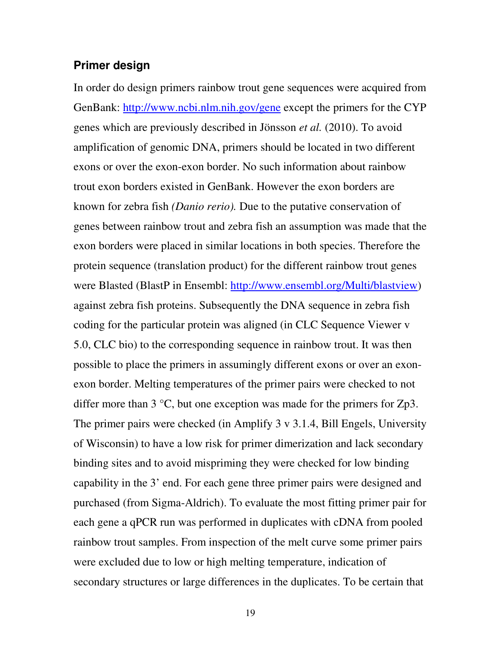#### **Primer design**

In order do design primers rainbow trout gene sequences were acquired from GenBank: http://www.ncbi.nlm.nih.gov/gene except the primers for the CYP genes which are previously described in Jönsson *et al.* (2010). To avoid amplification of genomic DNA, primers should be located in two different exons or over the exon-exon border. No such information about rainbow trout exon borders existed in GenBank. However the exon borders are known for zebra fish *(Danio rerio).* Due to the putative conservation of genes between rainbow trout and zebra fish an assumption was made that the exon borders were placed in similar locations in both species. Therefore the protein sequence (translation product) for the different rainbow trout genes were Blasted (BlastP in Ensembl: http://www.ensembl.org/Multi/blastview) against zebra fish proteins. Subsequently the DNA sequence in zebra fish coding for the particular protein was aligned (in CLC Sequence Viewer v 5.0, CLC bio) to the corresponding sequence in rainbow trout. It was then possible to place the primers in assumingly different exons or over an exonexon border. Melting temperatures of the primer pairs were checked to not differ more than 3 °C, but one exception was made for the primers for Zp3. The primer pairs were checked (in Amplify 3 v 3.1.4, Bill Engels, University of Wisconsin) to have a low risk for primer dimerization and lack secondary binding sites and to avoid mispriming they were checked for low binding capability in the 3' end. For each gene three primer pairs were designed and purchased (from Sigma-Aldrich). To evaluate the most fitting primer pair for each gene a qPCR run was performed in duplicates with cDNA from pooled rainbow trout samples. From inspection of the melt curve some primer pairs were excluded due to low or high melting temperature, indication of secondary structures or large differences in the duplicates. To be certain that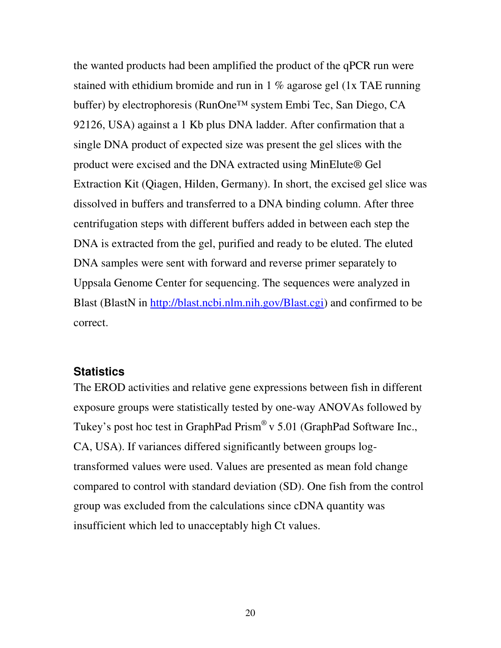the wanted products had been amplified the product of the qPCR run were stained with ethidium bromide and run in 1 % agarose gel (1x TAE running buffer) by electrophoresis (RunOne™ system Embi Tec, San Diego, CA 92126, USA) against a 1 Kb plus DNA ladder. After confirmation that a single DNA product of expected size was present the gel slices with the product were excised and the DNA extracted using MinElute® Gel Extraction Kit (Qiagen, Hilden, Germany). In short, the excised gel slice was dissolved in buffers and transferred to a DNA binding column. After three centrifugation steps with different buffers added in between each step the DNA is extracted from the gel, purified and ready to be eluted. The eluted DNA samples were sent with forward and reverse primer separately to Uppsala Genome Center for sequencing. The sequences were analyzed in Blast (BlastN in http://blast.ncbi.nlm.nih.gov/Blast.cgi) and confirmed to be correct.

#### **Statistics**

The EROD activities and relative gene expressions between fish in different exposure groups were statistically tested by one-way ANOVAs followed by Tukey's post hoc test in GraphPad Prism® v 5.01 (GraphPad Software Inc., CA, USA). If variances differed significantly between groups logtransformed values were used. Values are presented as mean fold change compared to control with standard deviation (SD). One fish from the control group was excluded from the calculations since cDNA quantity was insufficient which led to unacceptably high Ct values.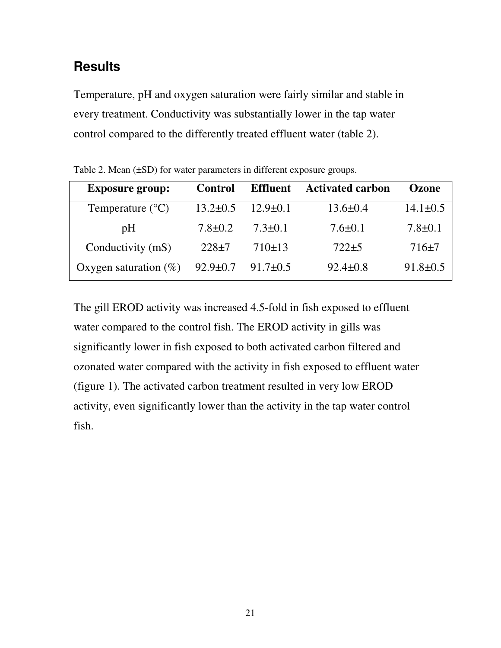# **Results**

Temperature, pH and oxygen saturation were fairly similar and stable in every treatment. Conductivity was substantially lower in the tap water control compared to the differently treated effluent water (table 2).

| <b>Exposure group:</b>    | <b>Control</b> | <b>Effluent</b> | <b>Activated carbon</b> | Ozone          |
|---------------------------|----------------|-----------------|-------------------------|----------------|
| Temperature $(^{\circ}C)$ | $13.2 \pm 0.5$ | $12.9 \pm 0.1$  | $13.6 \pm 0.4$          | $14.1 \pm 0.5$ |
| pH                        | $7.8 \pm 0.2$  | $7.3 \pm 0.1$   | $7.6 \pm 0.1$           | $7.8 \pm 0.1$  |
| Conductivity (mS)         | $228+7$        | 710±13          | $722 + 5$               | $716+7$        |
| Oxygen saturation $(\%)$  | $92.9 \pm 0.7$ | $91.7 \pm 0.5$  | $92.4 \pm 0.8$          | $91.8 \pm 0.5$ |

Table 2. Mean ( $\pm$ SD) for water parameters in different exposure groups.

The gill EROD activity was increased 4.5-fold in fish exposed to effluent water compared to the control fish. The EROD activity in gills was significantly lower in fish exposed to both activated carbon filtered and ozonated water compared with the activity in fish exposed to effluent water (figure 1). The activated carbon treatment resulted in very low EROD activity, even significantly lower than the activity in the tap water control fish.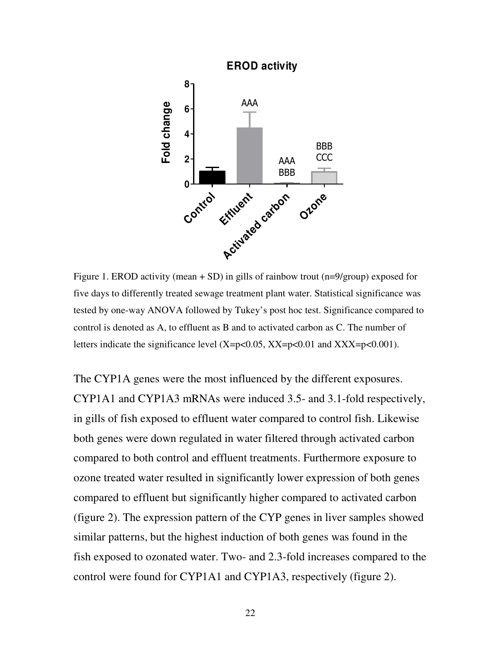

Figure 1. EROD activity (mean  $+$  SD) in gills of rainbow trout (n=9/group) exposed for five days to differently treated sewage treatment plant water. Statistical significance was tested by one-way ANOVA followed by Tukey's post hoc test. Significance compared to control is denoted as A, to effluent as B and to activated carbon as C. The number of letters indicate the significance level  $(X=p<0.05, XX=p<0.01$  and  $XXX=p<0.001$ ).

The CYP1A genes were the most influenced by the different exposures. CYP1A1 and CYP1A3 mRNAs were induced 3.5- and 3.1-fold respectively, in gills of fish exposed to effluent water compared to control fish. Likewise both genes were down regulated in water filtered through activated carbon compared to both control and effluent treatments. Furthermore exposure to ozone treated water resulted in significantly lower expression of both genes compared to effluent but significantly higher compared to activated carbon (figure 2). The expression pattern of the CYP genes in liver samples showed similar patterns, but the highest induction of both genes was found in the fish exposed to ozonated water. Two- and 2.3-fold increases compared to the control were found for CYP1A1 and CYP1A3, respectively (figure 2).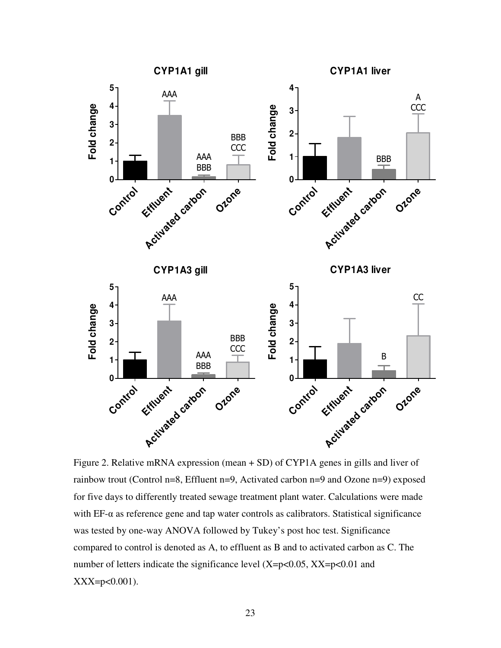

Figure 2. Relative mRNA expression (mean + SD) of CYP1A genes in gills and liver of rainbow trout (Control n=8, Effluent n=9, Activated carbon n=9 and Ozone n=9) exposed for five days to differently treated sewage treatment plant water. Calculations were made with  $EF-\alpha$  as reference gene and tap water controls as calibrators. Statistical significance was tested by one-way ANOVA followed by Tukey's post hoc test. Significance compared to control is denoted as A, to effluent as B and to activated carbon as C. The number of letters indicate the significance level  $(X=p<0.05, XX=p<0.01$  and  $XXX=p<0.001$ ).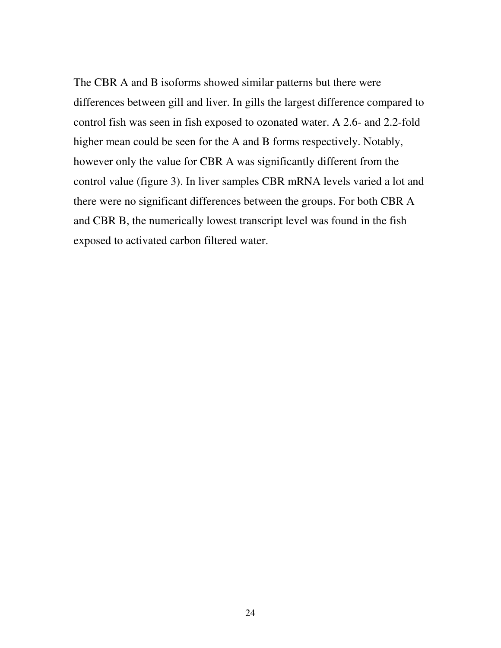The CBR A and B isoforms showed similar patterns but there were differences between gill and liver. In gills the largest difference compared to control fish was seen in fish exposed to ozonated water. A 2.6- and 2.2-fold higher mean could be seen for the A and B forms respectively. Notably, however only the value for CBR A was significantly different from the control value (figure 3). In liver samples CBR mRNA levels varied a lot and there were no significant differences between the groups. For both CBR A and CBR B, the numerically lowest transcript level was found in the fish exposed to activated carbon filtered water.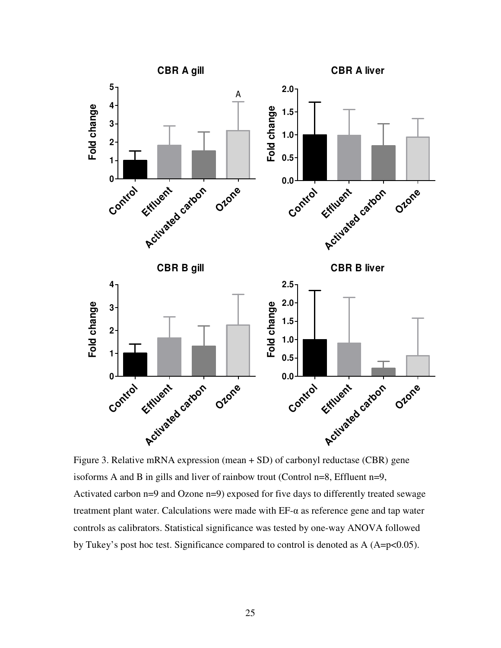

Figure 3. Relative mRNA expression (mean + SD) of carbonyl reductase (CBR) gene isoforms A and B in gills and liver of rainbow trout (Control n=8, Effluent n=9, Activated carbon n=9 and Ozone n=9) exposed for five days to differently treated sewage treatment plant water. Calculations were made with  $EF-\alpha$  as reference gene and tap water controls as calibrators. Statistical significance was tested by one-way ANOVA followed by Tukey's post hoc test. Significance compared to control is denoted as  $A (A=p<0.05)$ .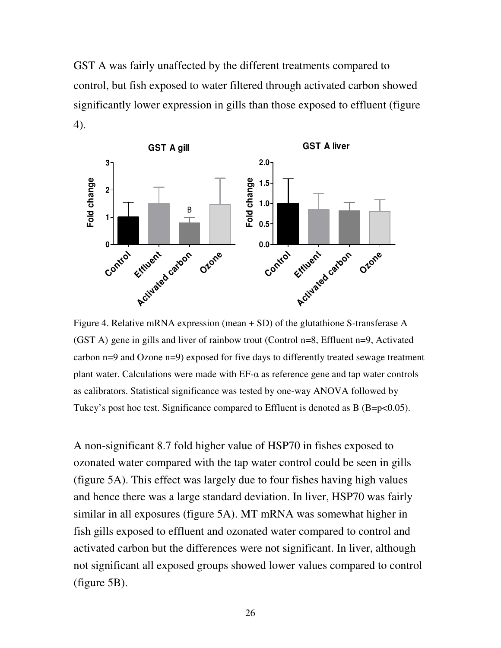GST A was fairly unaffected by the different treatments compared to control, but fish exposed to water filtered through activated carbon showed significantly lower expression in gills than those exposed to effluent (figure 4).



Figure 4. Relative mRNA expression (mean + SD) of the glutathione S-transferase A (GST A) gene in gills and liver of rainbow trout (Control n=8, Effluent n=9, Activated carbon n=9 and Ozone n=9) exposed for five days to differently treated sewage treatment plant water. Calculations were made with EF-α as reference gene and tap water controls as calibrators. Statistical significance was tested by one-way ANOVA followed by Tukey's post hoc test. Significance compared to Effluent is denoted as B (B=p<0.05).

A non-significant 8.7 fold higher value of HSP70 in fishes exposed to ozonated water compared with the tap water control could be seen in gills (figure 5A). This effect was largely due to four fishes having high values and hence there was a large standard deviation. In liver, HSP70 was fairly similar in all exposures (figure 5A). MT mRNA was somewhat higher in fish gills exposed to effluent and ozonated water compared to control and activated carbon but the differences were not significant. In liver, although not significant all exposed groups showed lower values compared to control (figure 5B).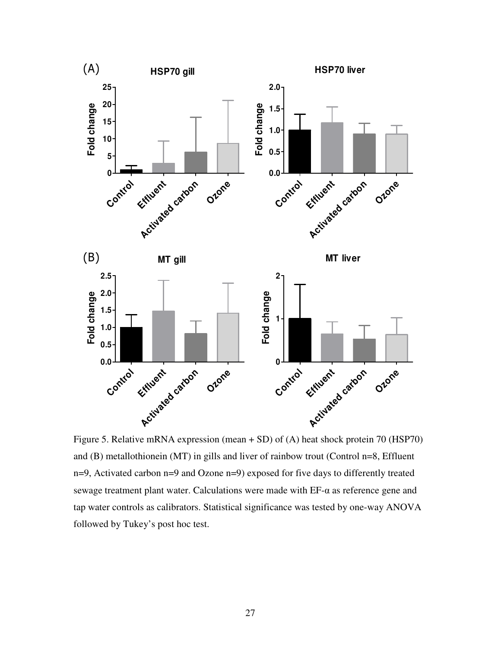

Figure 5. Relative mRNA expression (mean + SD) of (A) heat shock protein 70 (HSP70) and (B) metallothionein (MT) in gills and liver of rainbow trout (Control n=8, Effluent n=9, Activated carbon n=9 and Ozone n=9) exposed for five days to differently treated sewage treatment plant water. Calculations were made with  $EF-\alpha$  as reference gene and tap water controls as calibrators. Statistical significance was tested by one-way ANOVA followed by Tukey's post hoc test.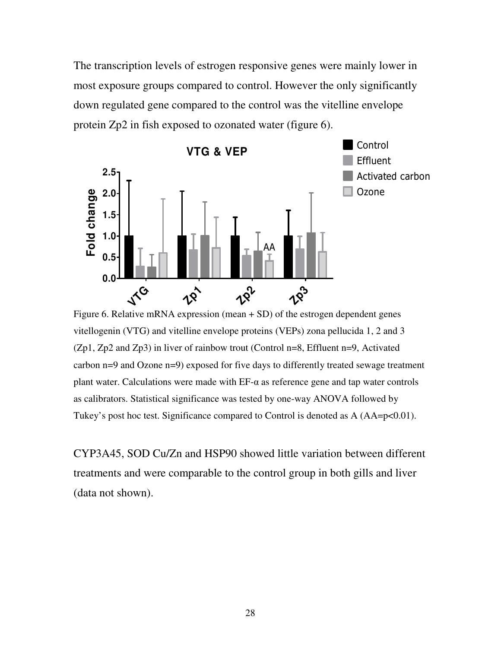The transcription levels of estrogen responsive genes were mainly lower in most exposure groups compared to control. However the only significantly down regulated gene compared to the control was the vitelline envelope protein Zp2 in fish exposed to ozonated water (figure 6).



Figure 6. Relative mRNA expression (mean + SD) of the estrogen dependent genes vitellogenin (VTG) and vitelline envelope proteins (VEPs) zona pellucida 1, 2 and 3 (Zp1, Zp2 and Zp3) in liver of rainbow trout (Control n=8, Effluent n=9, Activated carbon n=9 and Ozone n=9) exposed for five days to differently treated sewage treatment plant water. Calculations were made with  $EF-\alpha$  as reference gene and tap water controls as calibrators. Statistical significance was tested by one-way ANOVA followed by Tukey's post hoc test. Significance compared to Control is denoted as A (AA=p<0.01).

CYP3A45, SOD Cu/Zn and HSP90 showed little variation between different treatments and were comparable to the control group in both gills and liver (data not shown).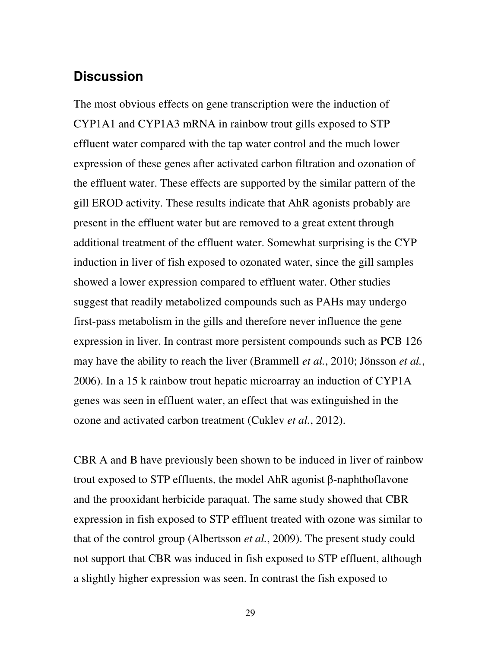### **Discussion**

The most obvious effects on gene transcription were the induction of CYP1A1 and CYP1A3 mRNA in rainbow trout gills exposed to STP effluent water compared with the tap water control and the much lower expression of these genes after activated carbon filtration and ozonation of the effluent water. These effects are supported by the similar pattern of the gill EROD activity. These results indicate that AhR agonists probably are present in the effluent water but are removed to a great extent through additional treatment of the effluent water. Somewhat surprising is the CYP induction in liver of fish exposed to ozonated water, since the gill samples showed a lower expression compared to effluent water. Other studies suggest that readily metabolized compounds such as PAHs may undergo first-pass metabolism in the gills and therefore never influence the gene expression in liver. In contrast more persistent compounds such as PCB 126 may have the ability to reach the liver (Brammell *et al.*, 2010; Jönsson *et al.*, 2006). In a 15 k rainbow trout hepatic microarray an induction of CYP1A genes was seen in effluent water, an effect that was extinguished in the ozone and activated carbon treatment (Cuklev *et al.*, 2012).

CBR A and B have previously been shown to be induced in liver of rainbow trout exposed to STP effluents, the model AhR agonist β-naphthoflavone and the prooxidant herbicide paraquat. The same study showed that CBR expression in fish exposed to STP effluent treated with ozone was similar to that of the control group (Albertsson *et al.*, 2009). The present study could not support that CBR was induced in fish exposed to STP effluent, although a slightly higher expression was seen. In contrast the fish exposed to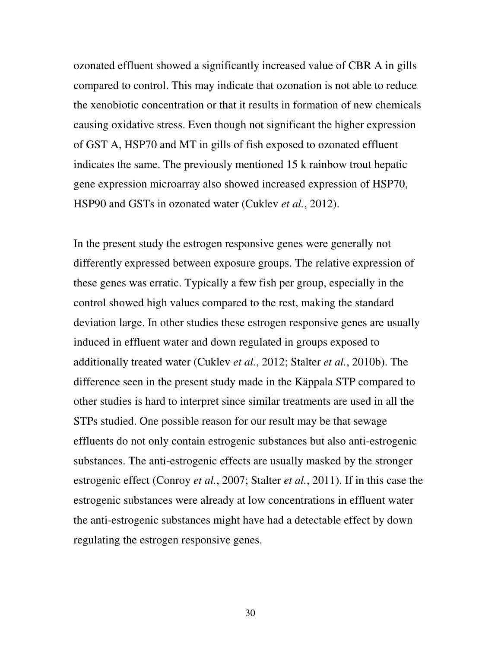ozonated effluent showed a significantly increased value of CBR A in gills compared to control. This may indicate that ozonation is not able to reduce the xenobiotic concentration or that it results in formation of new chemicals causing oxidative stress. Even though not significant the higher expression of GST A, HSP70 and MT in gills of fish exposed to ozonated effluent indicates the same. The previously mentioned 15 k rainbow trout hepatic gene expression microarray also showed increased expression of HSP70, HSP90 and GSTs in ozonated water (Cuklev *et al.*, 2012).

In the present study the estrogen responsive genes were generally not differently expressed between exposure groups. The relative expression of these genes was erratic. Typically a few fish per group, especially in the control showed high values compared to the rest, making the standard deviation large. In other studies these estrogen responsive genes are usually induced in effluent water and down regulated in groups exposed to additionally treated water (Cuklev *et al.*, 2012; Stalter *et al.*, 2010b). The difference seen in the present study made in the Käppala STP compared to other studies is hard to interpret since similar treatments are used in all the STPs studied. One possible reason for our result may be that sewage effluents do not only contain estrogenic substances but also anti-estrogenic substances. The anti-estrogenic effects are usually masked by the stronger estrogenic effect (Conroy *et al.*, 2007; Stalter *et al.*, 2011). If in this case the estrogenic substances were already at low concentrations in effluent water the anti-estrogenic substances might have had a detectable effect by down regulating the estrogen responsive genes.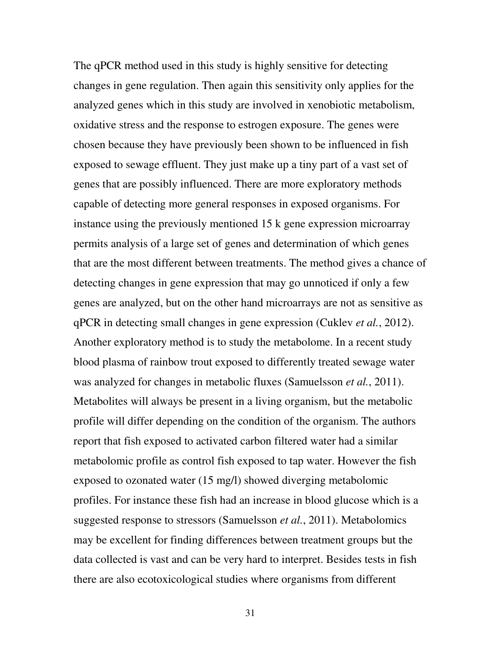The qPCR method used in this study is highly sensitive for detecting changes in gene regulation. Then again this sensitivity only applies for the analyzed genes which in this study are involved in xenobiotic metabolism, oxidative stress and the response to estrogen exposure. The genes were chosen because they have previously been shown to be influenced in fish exposed to sewage effluent. They just make up a tiny part of a vast set of genes that are possibly influenced. There are more exploratory methods capable of detecting more general responses in exposed organisms. For instance using the previously mentioned 15 k gene expression microarray permits analysis of a large set of genes and determination of which genes that are the most different between treatments. The method gives a chance of detecting changes in gene expression that may go unnoticed if only a few genes are analyzed, but on the other hand microarrays are not as sensitive as qPCR in detecting small changes in gene expression (Cuklev *et al.*, 2012). Another exploratory method is to study the metabolome. In a recent study blood plasma of rainbow trout exposed to differently treated sewage water was analyzed for changes in metabolic fluxes (Samuelsson *et al.*, 2011). Metabolites will always be present in a living organism, but the metabolic profile will differ depending on the condition of the organism. The authors report that fish exposed to activated carbon filtered water had a similar metabolomic profile as control fish exposed to tap water. However the fish exposed to ozonated water (15 mg/l) showed diverging metabolomic profiles. For instance these fish had an increase in blood glucose which is a suggested response to stressors (Samuelsson *et al.*, 2011). Metabolomics may be excellent for finding differences between treatment groups but the data collected is vast and can be very hard to interpret. Besides tests in fish there are also ecotoxicological studies where organisms from different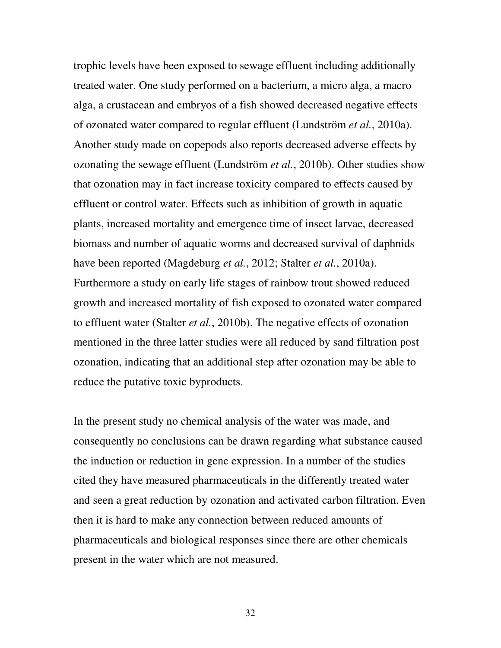trophic levels have been exposed to sewage effluent including additionally treated water. One study performed on a bacterium, a micro alga, a macro alga, a crustacean and embryos of a fish showed decreased negative effects of ozonated water compared to regular effluent (Lundström *et al.*, 2010a). Another study made on copepods also reports decreased adverse effects by ozonating the sewage effluent (Lundström *et al.*, 2010b). Other studies show that ozonation may in fact increase toxicity compared to effects caused by effluent or control water. Effects such as inhibition of growth in aquatic plants, increased mortality and emergence time of insect larvae, decreased biomass and number of aquatic worms and decreased survival of daphnids have been reported (Magdeburg *et al.*, 2012; Stalter *et al.*, 2010a). Furthermore a study on early life stages of rainbow trout showed reduced growth and increased mortality of fish exposed to ozonated water compared to effluent water (Stalter *et al.*, 2010b). The negative effects of ozonation mentioned in the three latter studies were all reduced by sand filtration post ozonation, indicating that an additional step after ozonation may be able to reduce the putative toxic byproducts.

In the present study no chemical analysis of the water was made, and consequently no conclusions can be drawn regarding what substance caused the induction or reduction in gene expression. In a number of the studies cited they have measured pharmaceuticals in the differently treated water and seen a great reduction by ozonation and activated carbon filtration. Even then it is hard to make any connection between reduced amounts of pharmaceuticals and biological responses since there are other chemicals present in the water which are not measured.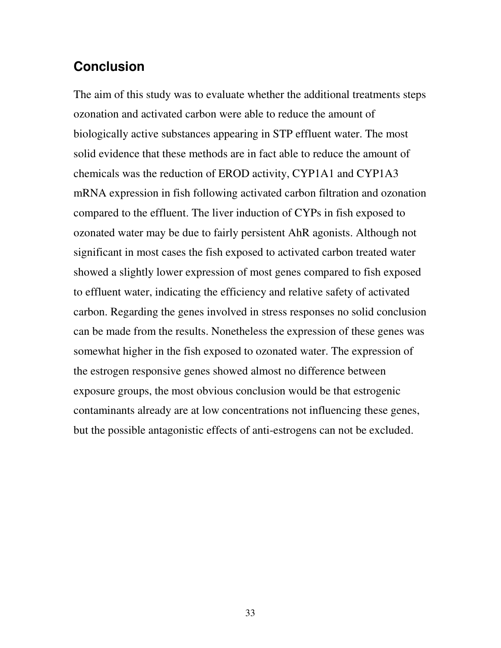## **Conclusion**

The aim of this study was to evaluate whether the additional treatments steps ozonation and activated carbon were able to reduce the amount of biologically active substances appearing in STP effluent water. The most solid evidence that these methods are in fact able to reduce the amount of chemicals was the reduction of EROD activity, CYP1A1 and CYP1A3 mRNA expression in fish following activated carbon filtration and ozonation compared to the effluent. The liver induction of CYPs in fish exposed to ozonated water may be due to fairly persistent AhR agonists. Although not significant in most cases the fish exposed to activated carbon treated water showed a slightly lower expression of most genes compared to fish exposed to effluent water, indicating the efficiency and relative safety of activated carbon. Regarding the genes involved in stress responses no solid conclusion can be made from the results. Nonetheless the expression of these genes was somewhat higher in the fish exposed to ozonated water. The expression of the estrogen responsive genes showed almost no difference between exposure groups, the most obvious conclusion would be that estrogenic contaminants already are at low concentrations not influencing these genes, but the possible antagonistic effects of anti-estrogens can not be excluded.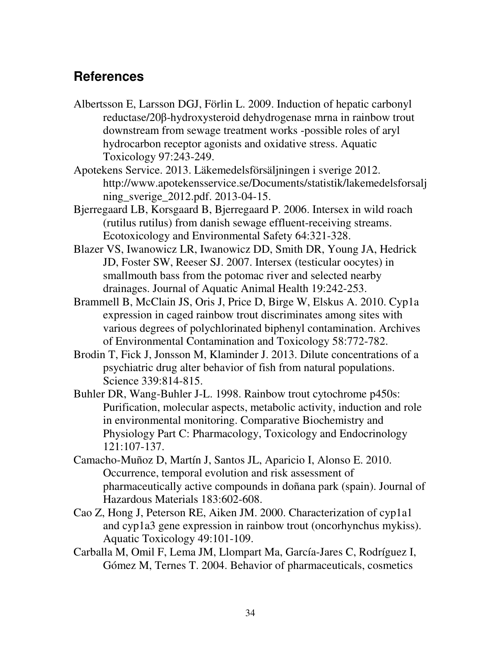# **References**

- Albertsson E, Larsson DGJ, Förlin L. 2009. Induction of hepatic carbonyl reductase/20β-hydroxysteroid dehydrogenase mrna in rainbow trout downstream from sewage treatment works -possible roles of aryl hydrocarbon receptor agonists and oxidative stress. Aquatic Toxicology 97:243-249.
- Apotekens Service. 2013. Läkemedelsförsäljningen i sverige 2012. http://www.apotekensservice.se/Documents/statistik/lakemedelsforsalj ning\_sverige\_2012.pdf. 2013-04-15.
- Bjerregaard LB, Korsgaard B, Bjerregaard P. 2006. Intersex in wild roach (rutilus rutilus) from danish sewage effluent-receiving streams. Ecotoxicology and Environmental Safety 64:321-328.
- Blazer VS, Iwanowicz LR, Iwanowicz DD, Smith DR, Young JA, Hedrick JD, Foster SW, Reeser SJ. 2007. Intersex (testicular oocytes) in smallmouth bass from the potomac river and selected nearby drainages. Journal of Aquatic Animal Health 19:242-253.
- Brammell B, McClain JS, Oris J, Price D, Birge W, Elskus A. 2010. Cyp1a expression in caged rainbow trout discriminates among sites with various degrees of polychlorinated biphenyl contamination. Archives of Environmental Contamination and Toxicology 58:772-782.
- Brodin T, Fick J, Jonsson M, Klaminder J. 2013. Dilute concentrations of a psychiatric drug alter behavior of fish from natural populations. Science 339:814-815.
- Buhler DR, Wang-Buhler J-L. 1998. Rainbow trout cytochrome p450s: Purification, molecular aspects, metabolic activity, induction and role in environmental monitoring. Comparative Biochemistry and Physiology Part C: Pharmacology, Toxicology and Endocrinology 121:107-137.
- Camacho-Muñoz D, Martín J, Santos JL, Aparicio I, Alonso E. 2010. Occurrence, temporal evolution and risk assessment of pharmaceutically active compounds in doñana park (spain). Journal of Hazardous Materials 183:602-608.
- Cao Z, Hong J, Peterson RE, Aiken JM. 2000. Characterization of cyp1a1 and cyp1a3 gene expression in rainbow trout (oncorhynchus mykiss). Aquatic Toxicology 49:101-109.
- Carballa M, Omil F, Lema JM, Llompart Ma, García-Jares C, Rodríguez I, Gómez M, Ternes T. 2004. Behavior of pharmaceuticals, cosmetics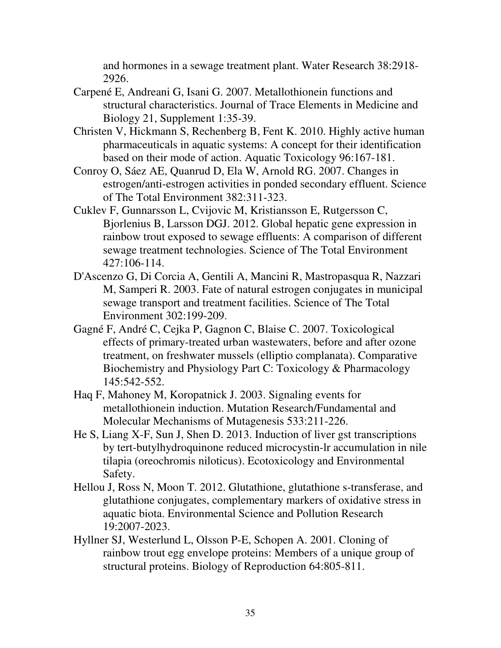and hormones in a sewage treatment plant. Water Research 38:2918- 2926.

- Carpené E, Andreani G, Isani G. 2007. Metallothionein functions and structural characteristics. Journal of Trace Elements in Medicine and Biology 21, Supplement 1:35-39.
- Christen V, Hickmann S, Rechenberg B, Fent K. 2010. Highly active human pharmaceuticals in aquatic systems: A concept for their identification based on their mode of action. Aquatic Toxicology 96:167-181.
- Conroy O, Sáez AE, Quanrud D, Ela W, Arnold RG. 2007. Changes in estrogen/anti-estrogen activities in ponded secondary effluent. Science of The Total Environment 382:311-323.
- Cuklev F, Gunnarsson L, Cvijovic M, Kristiansson E, Rutgersson C, Bjorlenius B, Larsson DGJ. 2012. Global hepatic gene expression in rainbow trout exposed to sewage effluents: A comparison of different sewage treatment technologies. Science of The Total Environment 427:106-114.
- D'Ascenzo G, Di Corcia A, Gentili A, Mancini R, Mastropasqua R, Nazzari M, Samperi R. 2003. Fate of natural estrogen conjugates in municipal sewage transport and treatment facilities. Science of The Total Environment 302:199-209.
- Gagné F, André C, Cejka P, Gagnon C, Blaise C. 2007. Toxicological effects of primary-treated urban wastewaters, before and after ozone treatment, on freshwater mussels (elliptio complanata). Comparative Biochemistry and Physiology Part C: Toxicology & Pharmacology 145:542-552.
- Haq F, Mahoney M, Koropatnick J. 2003. Signaling events for metallothionein induction. Mutation Research/Fundamental and Molecular Mechanisms of Mutagenesis 533:211-226.
- He S, Liang X-F, Sun J, Shen D. 2013. Induction of liver gst transcriptions by tert-butylhydroquinone reduced microcystin-lr accumulation in nile tilapia (oreochromis niloticus). Ecotoxicology and Environmental Safety.
- Hellou J, Ross N, Moon T. 2012. Glutathione, glutathione s-transferase, and glutathione conjugates, complementary markers of oxidative stress in aquatic biota. Environmental Science and Pollution Research 19:2007-2023.
- Hyllner SJ, Westerlund L, Olsson P-E, Schopen A. 2001. Cloning of rainbow trout egg envelope proteins: Members of a unique group of structural proteins. Biology of Reproduction 64:805-811.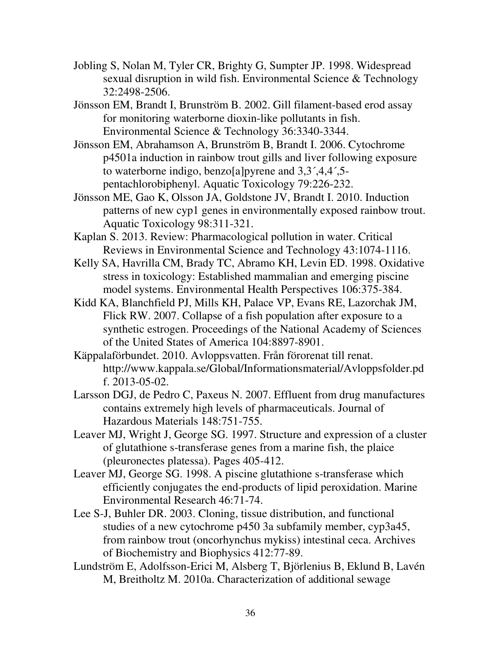- Jobling S, Nolan M, Tyler CR, Brighty G, Sumpter JP. 1998. Widespread sexual disruption in wild fish. Environmental Science & Technology 32:2498-2506.
- Jönsson EM, Brandt I, Brunström B. 2002. Gill filament-based erod assay for monitoring waterborne dioxin-like pollutants in fish. Environmental Science & Technology 36:3340-3344.
- Jönsson EM, Abrahamson A, Brunström B, Brandt I. 2006. Cytochrome p4501a induction in rainbow trout gills and liver following exposure to waterborne indigo, benzo[a]pyrene and 3,3´,4,4´,5 pentachlorobiphenyl. Aquatic Toxicology 79:226-232.
- Jönsson ME, Gao K, Olsson JA, Goldstone JV, Brandt I. 2010. Induction patterns of new cyp1 genes in environmentally exposed rainbow trout. Aquatic Toxicology 98:311-321.
- Kaplan S. 2013. Review: Pharmacological pollution in water. Critical Reviews in Environmental Science and Technology 43:1074-1116.
- Kelly SA, Havrilla CM, Brady TC, Abramo KH, Levin ED. 1998. Oxidative stress in toxicology: Established mammalian and emerging piscine model systems. Environmental Health Perspectives 106:375-384.
- Kidd KA, Blanchfield PJ, Mills KH, Palace VP, Evans RE, Lazorchak JM, Flick RW. 2007. Collapse of a fish population after exposure to a synthetic estrogen. Proceedings of the National Academy of Sciences of the United States of America 104:8897-8901.
- Käppalaförbundet. 2010. Avloppsvatten. Från förorenat till renat. http://www.kappala.se/Global/Informationsmaterial/Avloppsfolder.pd f. 2013-05-02.
- Larsson DGJ, de Pedro C, Paxeus N. 2007. Effluent from drug manufactures contains extremely high levels of pharmaceuticals. Journal of Hazardous Materials 148:751-755.
- Leaver MJ, Wright J, George SG. 1997. Structure and expression of a cluster of glutathione s-transferase genes from a marine fish, the plaice (pleuronectes platessa). Pages 405-412.
- Leaver MJ, George SG. 1998. A piscine glutathione s-transferase which efficiently conjugates the end-products of lipid peroxidation. Marine Environmental Research 46:71-74.
- Lee S-J, Buhler DR. 2003. Cloning, tissue distribution, and functional studies of a new cytochrome p450 3a subfamily member, cyp3a45, from rainbow trout (oncorhynchus mykiss) intestinal ceca. Archives of Biochemistry and Biophysics 412:77-89.
- Lundström E, Adolfsson-Erici M, Alsberg T, Björlenius B, Eklund B, Lavén M, Breitholtz M. 2010a. Characterization of additional sewage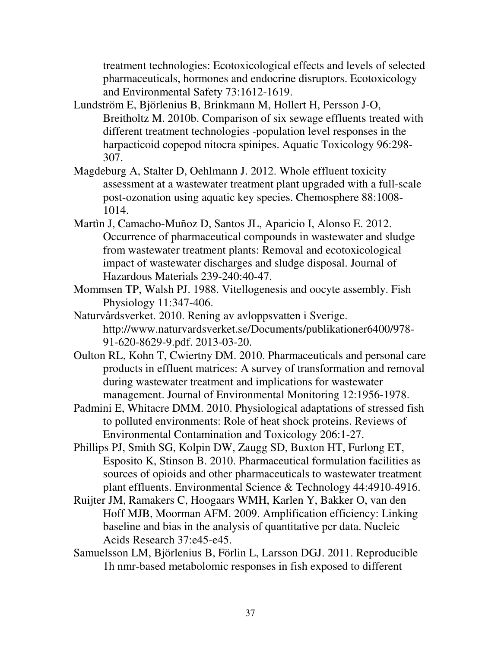treatment technologies: Ecotoxicological effects and levels of selected pharmaceuticals, hormones and endocrine disruptors. Ecotoxicology and Environmental Safety 73:1612-1619.

- Lundström E, Björlenius B, Brinkmann M, Hollert H, Persson J-O, Breitholtz M. 2010b. Comparison of six sewage effluents treated with different treatment technologies -population level responses in the harpacticoid copepod nitocra spinipes. Aquatic Toxicology 96:298- 307.
- Magdeburg A, Stalter D, Oehlmann J. 2012. Whole effluent toxicity assessment at a wastewater treatment plant upgraded with a full-scale post-ozonation using aquatic key species. Chemosphere 88:1008- 1014.
- Martìn J, Camacho-Muñoz D, Santos JL, Aparicio I, Alonso E. 2012. Occurrence of pharmaceutical compounds in wastewater and sludge from wastewater treatment plants: Removal and ecotoxicological impact of wastewater discharges and sludge disposal. Journal of Hazardous Materials 239-240:40-47.
- Mommsen TP, Walsh PJ. 1988. Vitellogenesis and oocyte assembly. Fish Physiology 11:347-406.
- Naturvårdsverket. 2010. Rening av avloppsvatten i Sverige. http://www.naturvardsverket.se/Documents/publikationer6400/978- 91-620-8629-9.pdf. 2013-03-20.
- Oulton RL, Kohn T, Cwiertny DM. 2010. Pharmaceuticals and personal care products in effluent matrices: A survey of transformation and removal during wastewater treatment and implications for wastewater management. Journal of Environmental Monitoring 12:1956-1978.
- Padmini E, Whitacre DMM. 2010. Physiological adaptations of stressed fish to polluted environments: Role of heat shock proteins. Reviews of Environmental Contamination and Toxicology 206:1-27.
- Phillips PJ, Smith SG, Kolpin DW, Zaugg SD, Buxton HT, Furlong ET, Esposito K, Stinson B. 2010. Pharmaceutical formulation facilities as sources of opioids and other pharmaceuticals to wastewater treatment plant effluents. Environmental Science & Technology 44:4910-4916.
- Ruijter JM, Ramakers C, Hoogaars WMH, Karlen Y, Bakker O, van den Hoff MJB, Moorman AFM. 2009. Amplification efficiency: Linking baseline and bias in the analysis of quantitative pcr data. Nucleic Acids Research 37:e45-e45.
- Samuelsson LM, Björlenius B, Förlin L, Larsson DGJ. 2011. Reproducible 1h nmr-based metabolomic responses in fish exposed to different